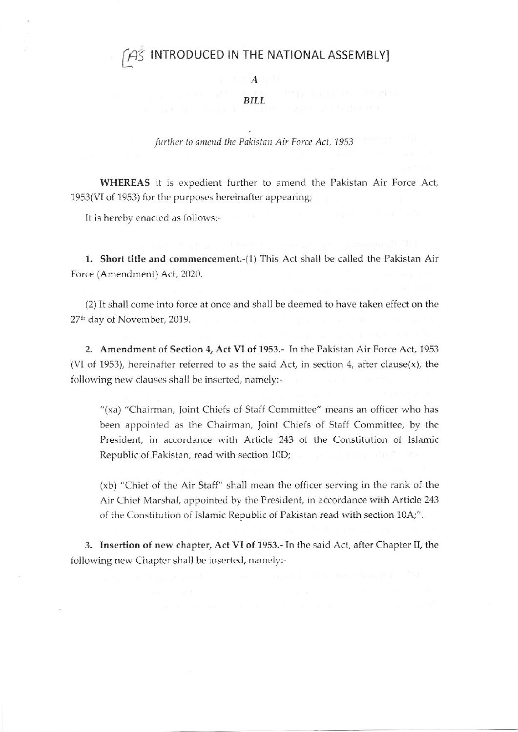# INTRODUCED IN THE NATIONAL ASSEMBLY]

 $A$ 

#### **BILL**

further to amend the Pakistan Air Force Act, 1953

WHEREAS it is expedient further to amend the Pakistan Air Force Act, 1953(VI of 1953) for the purposes hereinafter appearing;

It is hereby enacted as follows:-

1. Short title and commencement.-(1) This Act shall be called the Pakistan Air Force (Amendment) Act, 2020.

(2) It shall come into force at once and shall be deemed to have taken effect on the 27<sup>th</sup> day of November, 2019.

2. Amendment of Section 4, Act VI of 1953.- In the Pakistan Air Force Act, 1953 (VI of 1953), hereinafter referred to as the said Act, in section 4, after clause $(x)$ , the following new clauses shall be inserted, namely:-

"(xa) "Chairman, Joint Chiefs of Staff Committee" means an officer who has been appointed as the Chairman, Joint Chiefs of Staff Committee, by the President, in accordance with Article 243 of the Constitution of Islamic Republic of Pakistan, read with section 10D;

(xb) "Chief of the Air Staff" shall mean the officer serving in the rank of the Air Chief Marshal, appointed by the President, in accordance with Article 243 of the Constitution of Islamic Republic of Pakistan read with section 10A;".

3. Insertion of new chapter, Act VI of 1953.- In the said Act, after Chapter II, the following new Chapter shall be inserted, namely:-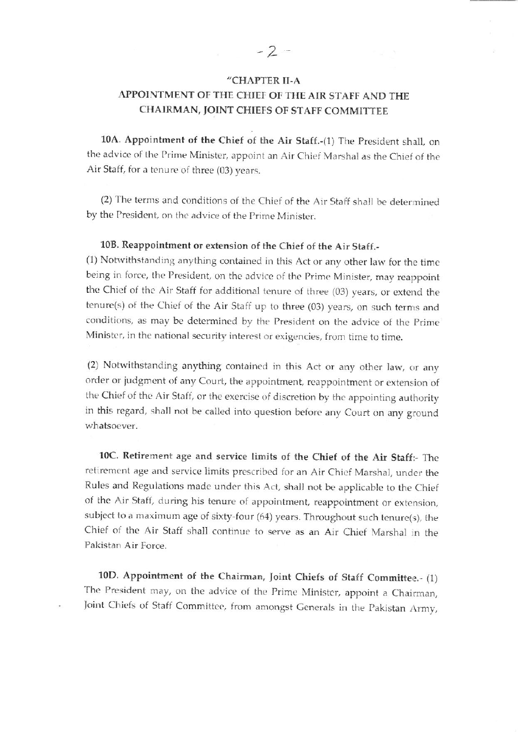### "CHAPTER II.A

## APPOINTMENT OF THE CHIEF OT THE AIR STAFF AND THE CHAIRMAN, JOINT CHIEFS OF STAFF COMMITTEE

10A. Appointment of the Chief of the Air Staff.-(1) The President shall, on the advice of the Prime Minister, appoint an Air Chief Marshal as the Chief of the Air Staff, for a tenure of three (03) years.

(2) The terms and conditions of the Chief of the Air Staff shall be determined by the President, on the advice of the Prime Minister.

### 108. Reappointment or extension of the Chief of the Air Stafr.-

(1) Notwithstanding anything contained in this Act or any other law for the time being in force, the President, on the advice of the Prime Minister, may reappoint the Chief of the Air Staff for additional tenure of three (03) years, or extend the tenure(s) of the Chief of the Air Staff up to three (03) years, on such terms and conditions, as may be determined by the President on the advice of the Prime Minister, in the national security interest or exigencies, from time to time.

(2) Notwithstanding anything contained in this Act or any other law, or any order or judgment of any Court, the appointment, reappointment or extension of the Chief of the Air Staff, or the exercise of discretion by the appointing authority in this regard, shall not be called into question before any Court on any ground whatsoever,

10C. Retirement age and service limits of the Chief of the Air Staff:- The retirement age and service limits prescribed for an Air Chief Marshal, under the Rules and Regulations made under this Act, shall not be applicable to the Chief of the Air Staft, during his tenure of appointment, reappointment or extension, subject to a maximum age of sixty-four (64) years. Throughout such tenure(s), the Chief of the Air Staff shall continue to serve as an Air Chief Marshal in the Pakistan Air Force.

10D. Appointment of the Chairman, Joint Chiefs of Staff Committee.- (1) The President may, on the advice of the Prime Minister, appoint a Chairman, Joint Chiefs of Staff Committee, from amongst Generals in the Pakistan Army,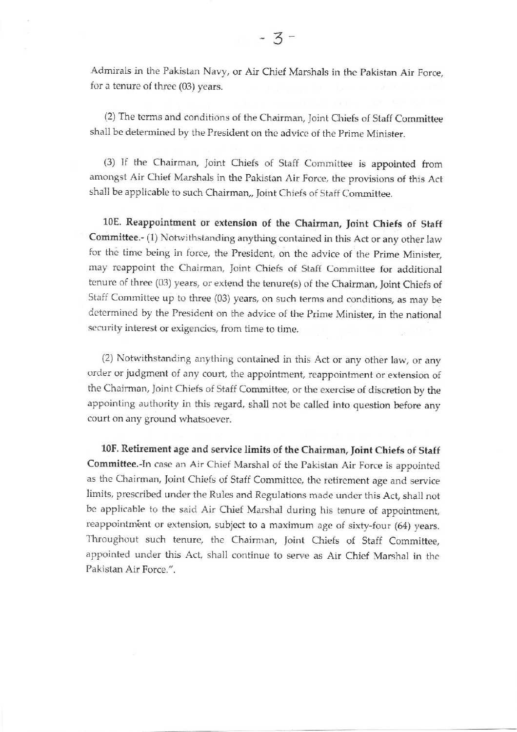Admirals in the Pakistan Navy, or Air Chief Marshals in the Pakistan Air Force, for a tenure of three (03) years.

(2) The tenns and conditions of the Chairman. Joint Chiefs of Staff Committee shall be determined by the President on the advice of the Prime Minister.

(3) If the Chairman, Joint Chiefs of Staff Committee is appointed from amongst Air Chief Marshals in the Pakistan Air Force, the provisions of this Act shall be applicable to such Chairman,, loint Chiefs of Staff Committee.

10E. Reappointment or extension of the Chairman, Joint Chiefs of Staff Committee.- (1) Notwithstanding anything contained in this Act or any other law for the time being in force, the President, on the advice of the Prime Minister, may reappoint the Chairman, Joint Chiefs of Staff Committee for additional tenure of three (03) years, or extend the tenure(s) of the Chairman, Joint Chiefs of Staff Committee up to three (03) years, on such terms and conditions, as may be determined by the President on the advice of the Prime Minister, in the national security interest or exigencies, from time to time.

(2) Notwithstanding anything contained in this Act or any other law, or any order or judgment of any court, the appointment, reappointment or extension of the Chairman, Joint Chiefs of Staff Committee, or the exercise of discretion by the appointing authority in this regard, shall not be called into question before any court on any ground whatsoever.

10F. Retirement age and service limits of the Chairman, Joirt Chiefe of Staff Committee.-In case an Air Chief Marshal of the Pakistan Air Force is appointed as the Chairman, Joint Chiefs of Staff Committee, the retirement age and service limits, prescribed under the Rules and Regulations made under this Act, shall not be applicable to the said Air Chief Marshal during his tenure of appointment, reappointment or extension, subject to a maximum age of sixty-four (64) years. Throughout such tenure, the Chairman, Joint Chiefs of Staff Committee, appointed under this Act, shall continue to serve as Air Chicf Marshal in the Pakistan Air Force.".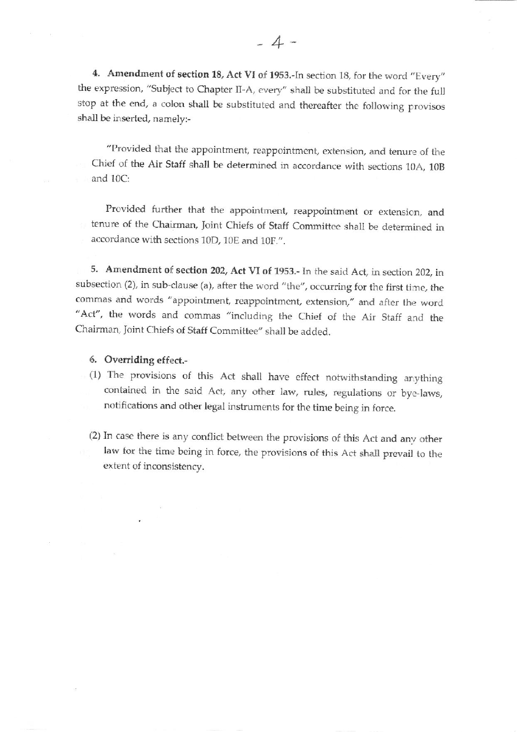4. Amendment of section 18, Act VI of 1953.-In section 18, for the word "Every" the expression, "Subject to Chapter II-A, every" shall be substituted and for the full stop at the end, a colon shall be substituted and thereafter the following provisos shall be inserted, namely:-

"Provided that the appointment, reappointment, extension, and tenure of the Chief of the Air Staff shall be determined in accordance with sections 10A, 10B and  $10C$ :

Provided further that the appointment, reappointment or extensicn, and tenure of the Chairman, Ioint Chiefs of Staff Committee shall be determined in accordance with sections 10D, 10E and 10F.".

5. Amendment of section 202, Act VI of 1953.- In the said Act, in section 202, in subsection (2), in sub-clause (a), after the word "the", occurring for the first time, the commas and words "appointment, reappointment, extension," and after the word "Act", the words and commas "including the Chief of the Air Staff and the Chairman, Joint Chiefs of Staff Committee" shall be added.

### 6. Overriding effect.-

- (1) The provisions of this Act shall have effect notwithstanding arrything contained in the said Act, any other law, rules, regulations or bye-laws, notifications and other legal instruments for the time being in force.
- (2) In case there is any conflict between the provisions of this Act and any other law for the time being in force, the provisions of this Act shall prevail to the extent of inconsistency.